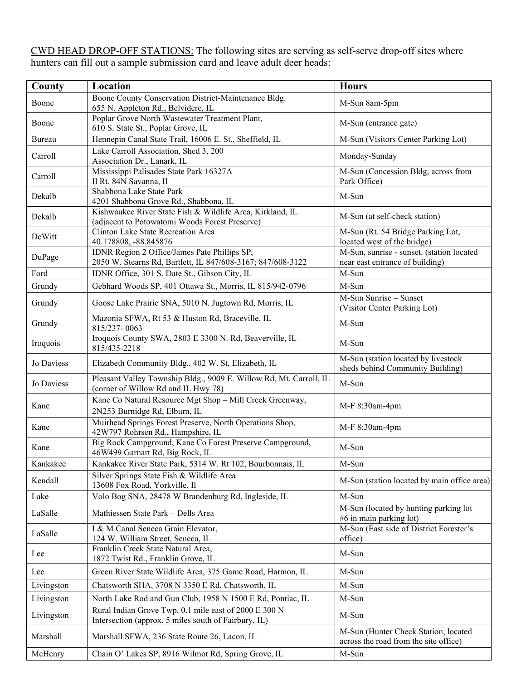CWD HEAD DROP-OFF STATIONS: The following sites are serving as self-serve drop-off sites where hunters can fill out a sample submission card and leave adult deer heads:

| County     | Location                                                                                                      | <b>Hours</b>                                                                  |
|------------|---------------------------------------------------------------------------------------------------------------|-------------------------------------------------------------------------------|
| Boone      | Boone County Conservation District-Maintenance Bldg.<br>655 N. Appleton Rd., Belvidere, IL                    | M-Sun 8am-5pm                                                                 |
| Boone      | Poplar Grove North Wastewater Treatment Plant,<br>610 S. State St., Poplar Grove, IL                          | M-Sun (entrance gate)                                                         |
| Bureau     | Hennepin Canal State Trail, 16006 E. St., Sheffield, IL                                                       | M-Sun (Visitors Center Parking Lot)                                           |
| Carroll    | Lake Carroll Association, Shed 3, 200<br>Association Dr., Lanark, IL                                          | Monday-Sunday                                                                 |
| Carroll    | Mississippi Palisades State Park 16327A<br>Il Rt. 84N Savanna, Il                                             | M-Sun (Concession Bldg, across from<br>Park Office)                           |
| Dekalb     | Shabbona Lake State Park<br>4201 Shabbona Grove Rd., Shabbona, IL                                             | M-Sun                                                                         |
| Dekalb     | Kishwaukee River State Fish & Wildlife Area, Kirkland, IL<br>(adjacent to Potowatomi Woods Forest Preserve)   | M-Sun (at self-check station)                                                 |
| DeWitt     | Clinton Lake State Recreation Area<br>40.178808, -88.845876                                                   | M-Sun (Rt. 54 Bridge Parking Lot,<br>located west of the bridge)              |
| DuPage     | IDNR Region 2 Office/James Pate Phillips SP,<br>2050 W. Stearns Rd, Bartlett, IL 847/608-3167; 847/608-3122   | M-Sun, sunrise - sunset. (station located<br>near east entrance of building)  |
| Ford       | IDNR Office, 301 S. Date St., Gibson City, IL                                                                 | M-Sun                                                                         |
| Grundy     | Gebhard Woods SP, 401 Ottawa St., Morris, IL 815/942-0796                                                     | M-Sun                                                                         |
| Grundy     | Goose Lake Prairie SNA, 5010 N. Jugtown Rd, Morris, IL                                                        | M-Sun Sunrise – Sunset<br>(Visitor Center Parking Lot)                        |
| Grundy     | Mazonia SFWA, Rt 53 & Huston Rd, Braceville, IL<br>815/237-0063                                               | M-Sun                                                                         |
| Iroquois   | Iroquois County SWA, 2803 E 3300 N. Rd, Beaverville, IL<br>815/435-2218                                       | M-Sun                                                                         |
| Jo Daviess | Elizabeth Community Bldg., 402 W. St, Elizabeth, IL                                                           | M-Sun (station located by livestock<br>sheds behind Community Building)       |
| Jo Daviess | Pleasant Valley Township Bldg., 9009 E. Willow Rd, Mt. Carroll, IL<br>(corner of Willow Rd and IL Hwy 78)     | M-Sun                                                                         |
| Kane       | Kane Co Natural Resource Mgt Shop - Mill Creek Greenway,<br>2N253 Burnidge Rd, Elburn, IL                     | M-F 8:30am-4pm                                                                |
| Kane       | Muirhead Springs Forest Preserve, North Operations Shop,<br>42W797 Rohrsen Rd., Hampshire, IL                 | M-F 8:30am-4pm                                                                |
| Kane       | Big Rock Campground, Kane Co Forest Preserve Campground,<br>46W499 Garnart Rd, Big Rock, IL                   | M-Sun                                                                         |
| Kankakee   | Kankakee River State Park, 5314 W. Rt 102, Bourbonnais, IL                                                    | M-Sun                                                                         |
| Kendall    | Silver Springs State Fish & Wildlife Area<br>13608 Fox Road, Yorkville, Il                                    | M-Sun (station located by main office area)                                   |
| Lake       | Volo Bog SNA, 28478 W Brandenburg Rd, Ingleside, IL                                                           | M-Sun                                                                         |
| LaSalle    | Mathiessen State Park - Dells Area                                                                            | M-Sun (located by hunting parking lot<br>#6 in main parking lot)              |
| LaSalle    | I & M Canal Seneca Grain Elevator,<br>124 W. William Street, Seneca, IL                                       | M-Sun (East side of District Forester's<br>office)                            |
| Lee        | Franklin Creek State Natural Area,<br>1872 Twist Rd., Franklin Grove, IL                                      | M-Sun                                                                         |
| Lee        | Green River State Wildlife Area, 375 Game Road, Harmon, IL                                                    | M-Sun                                                                         |
| Livingston | Chatsworth SHA, 3708 N 3350 E Rd, Chatsworth, IL                                                              | M-Sun                                                                         |
| Livingston | North Lake Rod and Gun Club, 1958 N 1500 E Rd, Pontiac, IL                                                    | M-Sun                                                                         |
| Livingston | Rural Indian Grove Twp, 0.1 mile east of 2000 E 300 N<br>Intersection (approx. 5 miles south of Fairbury, IL) | M-Sun                                                                         |
| Marshall   | Marshall SFWA, 236 State Route 26, Lacon, IL                                                                  | M-Sun (Hunter Check Station, located<br>across the road from the site office) |
| McHenry    | Chain O' Lakes SP, 8916 Wilmot Rd, Spring Grove, IL                                                           | M-Sun                                                                         |